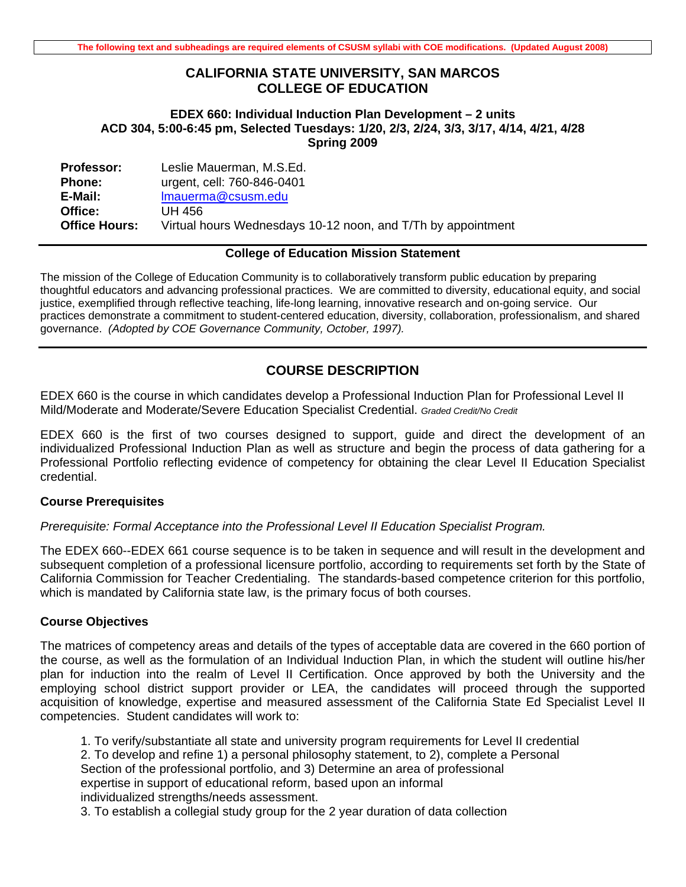## **CALIFORNIA STATE UNIVERSITY, SAN MARCOS COLLEGE OF EDUCATION**

### **EDEX 660: Individual Induction Plan Development – 2 units ACD 304, 5:00-6:45 pm, Selected Tuesdays: 1/20, 2/3, 2/24, 3/3, 3/17, 4/14, 4/21, 4/28 Spring 2009**

| <b>Professor:</b>    | Leslie Mauerman, M.S.Ed.                                     |
|----------------------|--------------------------------------------------------------|
| <b>Phone:</b>        | urgent, cell: 760-846-0401                                   |
| E-Mail:              | Imauerma@csusm.edu                                           |
| Office:              | UH 456                                                       |
| <b>Office Hours:</b> | Virtual hours Wednesdays 10-12 noon, and T/Th by appointment |

#### **College of Education Mission Statement**

The mission of the College of Education Community is to collaboratively transform public education by preparing thoughtful educators and advancing professional practices. We are committed to diversity, educational equity, and social justice, exemplified through reflective teaching, life-long learning, innovative research and on-going service. Our practices demonstrate a commitment to student-centered education, diversity, collaboration, professionalism, and shared governance. *(Adopted by COE Governance Community, October, 1997).* 

## **COURSE DESCRIPTION**

EDEX 660 is the course in which candidates develop a Professional Induction Plan for Professional Level II Mild/Moderate and Moderate/Severe Education Specialist Credential. *Graded Credit/No Credit* 

EDEX 660 is the first of two courses designed to support, guide and direct the development of an individualized Professional Induction Plan as well as structure and begin the process of data gathering for a Professional Portfolio reflecting evidence of competency for obtaining the clear Level II Education Specialist credential.

### **Course Prerequisites**

#### *Prerequisite: Formal Acceptance into the Professional Level II Education Specialist Program.*

The EDEX 660--EDEX 661 course sequence is to be taken in sequence and will result in the development and subsequent completion of a professional licensure portfolio, according to requirements set forth by the State of California Commission for Teacher Credentialing. The standards-based competence criterion for this portfolio, which is mandated by California state law, is the primary focus of both courses.

#### **Course Objectives**

The matrices of competency areas and details of the types of acceptable data are covered in the 660 portion of the course, as well as the formulation of an Individual Induction Plan, in which the student will outline his/her plan for induction into the realm of Level II Certification. Once approved by both the University and the employing school district support provider or LEA, the candidates will proceed through the supported acquisition of knowledge, expertise and measured assessment of the California State Ed Specialist Level II competencies. Student candidates will work to:

1. To verify/substantiate all state and university program requirements for Level II credential 2. To develop and refine 1) a personal philosophy statement, to 2), complete a Personal Section of the professional portfolio, and 3) Determine an area of professional expertise in support of educational reform, based upon an informal individualized strengths/needs assessment.

3. To establish a collegial study group for the 2 year duration of data collection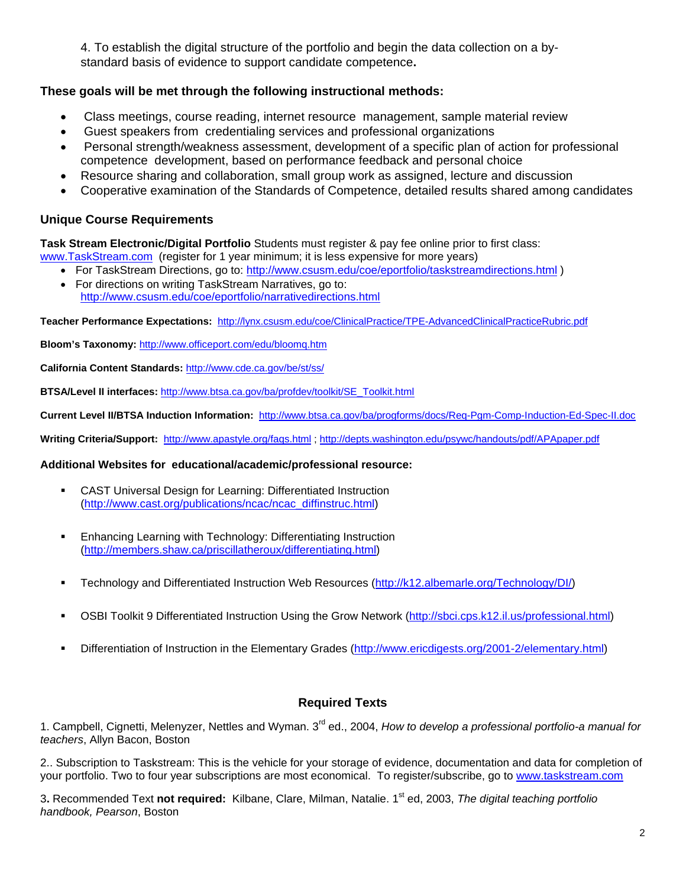4. To establish the digital structure of the portfolio and begin the data collection on a bystandard basis of evidence to support candidate competence**.** 

## **These goals will be met through the following instructional methods:**

- Class meetings, course reading, internet resource management, sample material review
- Guest speakers from credentialing services and professional organizations
- Personal strength/weakness assessment, development of a specific plan of action for professional competence development, based on performance feedback and personal choice
- Resource sharing and collaboration, small group work as assigned, lecture and discussion
- Cooperative examination of the Standards of Competence, detailed results shared among candidates

## **Unique Course Requirements**

**Task Stream Electronic/Digital Portfolio** Students must register & pay fee online prior to first class: www.TaskStream.com (register for 1 year minimum; it is less expensive for more years)

- For TaskStream Directions, go to: http://www.csusm.edu/coe/eportfolio/taskstreamdirections.html )
- http://www.csusm.edu/coe/eportfolio/narrativedirections.html • For directions on writing TaskStream Narratives, go to:

**Teacher Performance Expectations:** http://lynx.csusm.edu/coe/ClinicalPractice/TPE-AdvancedClinicalPracticeRubric.pdf

**Bloom's Taxonomy:** http://www.officeport.com/edu/bloomq.htm

**California Content Standards:** http://www.cde.ca.gov/be/st/ss/

**BTSA/Level II interfaces:** http://www.btsa.ca.gov/ba/profdev/toolkit/SE\_Toolkit.html

**Current Level II/BTSA Induction Information:** http://www.btsa.ca.gov/ba/progforms/docs/Req-Pgm-Comp-Induction-Ed-Spec-II.doc

**Writing Criteria/Support:** http://www.apastyle.org/faqs.html ; http://depts.washington.edu/psywc/handouts/pdf/APApaper.pdf

#### **Additional Websites for educational/academic/professional resource:**

- CAST Universal Design for Learning: Differentiated Instruction (http://www.cast.org/publications/ncac/ncac\_diffinstruc.html)
- Enhancing Learning with Technology: Differentiating Instruction (http://members.shaw.ca/priscillatheroux/differentiating.html)
- Technology and Differentiated Instruction Web Resources (http://k12.albemarle.org/Technology/DI/)
- OSBI Toolkit 9 Differentiated Instruction Using the Grow Network (http://sbci.cps.k12.il.us/professional.html)
- Differentiation of Instruction in the Elementary Grades (http://www.ericdigests.org/2001-2/elementary.html)

## **Required Texts**

1. Campbell, Cignetti, Melenyzer, Nettles and Wyman. 3<sup>rd</sup> ed., 2004, How to develop a professional portfolio-a manual for *teachers*, Allyn Bacon, Boston

2.. Subscription to Taskstream: This is the vehicle for your storage of evidence, documentation and data for completion of your portfolio. Two to four year subscriptions are most economical. To register/subscribe, go to www.taskstream.com

3**.** Recommended Text **not required:** Kilbane, Clare, Milman, Natalie. 1st ed, 2003, *The digital teaching portfolio handbook, Pearson*, Boston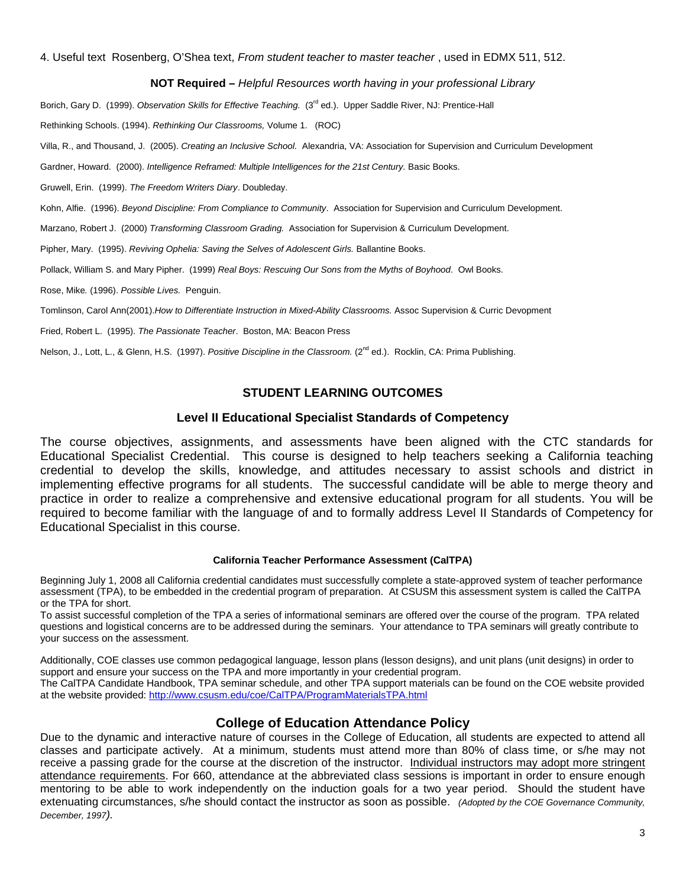4. Useful text Rosenberg, O'Shea text, *From student teacher to master teacher* , used in EDMX 511, 512.

#### **NOT Required –** *Helpful Resources worth having in your professional Library*

Borich, Gary D. (1999). Observation Skills for Effective Teaching. (3<sup>rd</sup> ed.). Upper Saddle River, NJ: Prentice-Hall

Rethinking Schools. (1994). *Rethinking Our Classrooms,* Volume 1. (ROC)

Villa, R., and Thousand, J. (2005). *Creating an Inclusive School.* Alexandria, VA: Association for Supervision and Curriculum Development

Gardner, Howard. (2000). *Intelligence Reframed: Multiple Intelligences for the 21st Century.* Basic Books.

Gruwell, Erin. (1999). *The Freedom Writers Diary*. Doubleday.

Kohn, Alfie. (1996). *Beyond Discipline: From Compliance to Community*. Association for Supervision and Curriculum Development.

Marzano, Robert J. (2000) *Transforming Classroom Grading.* Association for Supervision & Curriculum Development.

Pipher, Mary. (1995). *Reviving Ophelia: Saving the Selves of Adolescent Girls.* Ballantine Books.

Pollack, William S. and Mary Pipher. (1999) *Real Boys: Rescuing Our Sons from the Myths of Boyhood*. Owl Books.

Rose, Mike*.* (1996). *Possible Lives.* Penguin.

Tomlinson, Carol Ann(2001).*How to Differentiate Instruction in Mixed-Ability Classrooms.* Assoc Supervision & Curric Devopment

Fried, Robert L. (1995). *The Passionate Teacher*. Boston, MA: Beacon Press

Nelson, J., Lott, L., & Glenn, H.S. (1997). Positive Discipline in the Classroom. (2<sup>nd</sup> ed.). Rocklin, CA: Prima Publishing.

## **STUDENT LEARNING OUTCOMES**

#### **Level II Educational Specialist Standards of Competency**

The course objectives, assignments, and assessments have been aligned with the CTC standards for Educational Specialist Credential. This course is designed to help teachers seeking a California teaching credential to develop the skills, knowledge, and attitudes necessary to assist schools and district in implementing effective programs for all students. The successful candidate will be able to merge theory and practice in order to realize a comprehensive and extensive educational program for all students. You will be required to become familiar with the language of and to formally address Level II Standards of Competency for Educational Specialist in this course.

#### **California Teacher Performance Assessment (CalTPA)**

Beginning July 1, 2008 all California credential candidates must successfully complete a state-approved system of teacher performance assessment (TPA), to be embedded in the credential program of preparation. At CSUSM this assessment system is called the CalTPA or the TPA for short.

To assist successful completion of the TPA a series of informational seminars are offered over the course of the program. TPA related questions and logistical concerns are to be addressed during the seminars. Your attendance to TPA seminars will greatly contribute to your success on the assessment.

Additionally, COE classes use common pedagogical language, lesson plans (lesson designs), and unit plans (unit designs) in order to support and ensure your success on the TPA and more importantly in your credential program.

at the website provided: http://www.csusm.edu/coe/CalTPA/ProgramMaterialsTPA.html The CalTPA Candidate Handbook, TPA seminar schedule, and other TPA support materials can be found on the COE website provided

## **College of Education Attendance Policy**

 extenuating circumstances, s/he should contact the instructor as soon as possible. *(Adopted by the COE Governance Community, December, 1997).* Due to the dynamic and interactive nature of courses in the College of Education, all students are expected to attend all classes and participate actively. At a minimum, students must attend more than 80% of class time, or s/he may not receive a passing grade for the course at the discretion of the instructor. Individual instructors may adopt more stringent attendance requirements. For 660, attendance at the abbreviated class sessions is important in order to ensure enough mentoring to be able to work independently on the induction goals for a two year period. Should the student have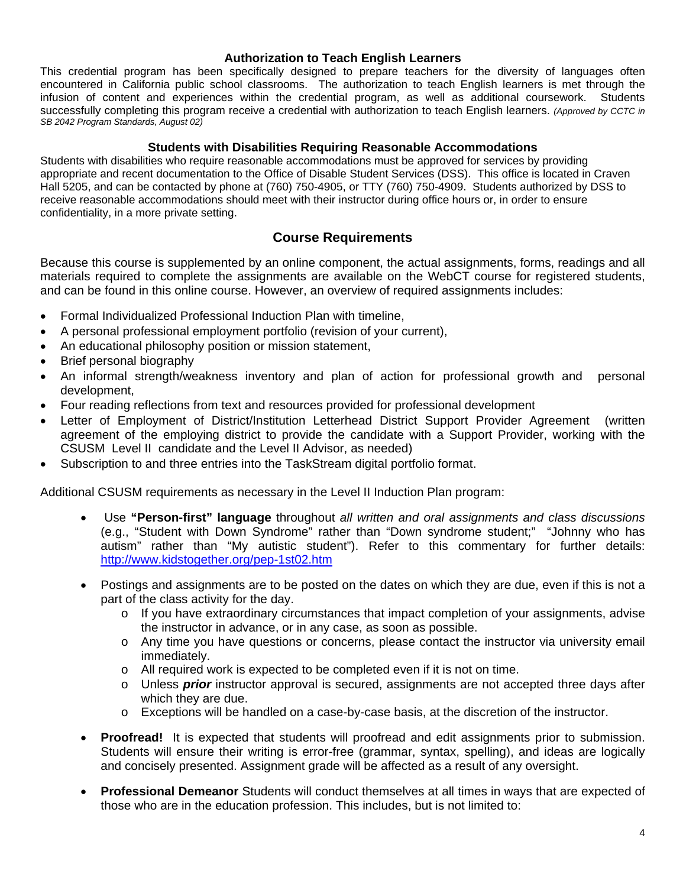### **Authorization to Teach English Learners**

This credential program has been specifically designed to prepare teachers for the diversity of languages often encountered in California public school classrooms. The authorization to teach English learners is met through the infusion of content and experiences within the credential program, as well as additional coursework. Students successfully completing this program receive a credential with authorization to teach English learners. *(Approved by CCTC in SB 2042 Program Standards, August 02)* 

#### **Students with Disabilities Requiring Reasonable Accommodations**

Students with disabilities who require reasonable accommodations must be approved for services by providing appropriate and recent documentation to the Office of Disable Student Services (DSS). This office is located in Craven Hall 5205, and can be contacted by phone at (760) 750-4905, or TTY (760) 750-4909. Students authorized by DSS to receive reasonable accommodations should meet with their instructor during office hours or, in order to ensure confidentiality, in a more private setting.

## **Course Requirements**

Because this course is supplemented by an online component, the actual assignments, forms, readings and all materials required to complete the assignments are available on the WebCT course for registered students, and can be found in this online course. However, an overview of required assignments includes:

- Formal Individualized Professional Induction Plan with timeline.
- A personal professional employment portfolio (revision of your current),
- An educational philosophy position or mission statement,
- Brief personal biography
- An informal strength/weakness inventory and plan of action for professional growth and personal development,
- Four reading reflections from text and resources provided for professional development
- Letter of Employment of District/Institution Letterhead District Support Provider Agreement (written agreement of the employing district to provide the candidate with a Support Provider, working with the CSUSM Level II candidate and the Level II Advisor, as needed)
- Subscription to and three entries into the TaskStream digital portfolio format.

Additional CSUSM requirements as necessary in the Level II Induction Plan program:

- Use "Person-first" language throughout all written and oral assignments and class discussions (e.g., "Student with Down Syndrome" rather than "Down syndrome student;" "Johnny who has autism" rather than "My autistic student"). Refer to this commentary for further details: http://www.kidstogether.org/pep-1st02.htm
- Postings and assignments are to be posted on the dates on which they are due, even if this is not a part of the class activity for the day.
	- $\circ$  If you have extraordinary circumstances that impact completion of your assignments, advise the instructor in advance, or in any case, as soon as possible.
	- o Any time you have questions or concerns, please contact the instructor via university email immediately.
	- $\circ$  All required work is expected to be completed even if it is not on time.
	- o Unless *prior* instructor approval is secured, assignments are not accepted three days after which they are due.
	- $\circ$  Exceptions will be handled on a case-by-case basis, at the discretion of the instructor.
- • **Proofread!** It is expected that students will proofread and edit assignments prior to submission. Students will ensure their writing is error-free (grammar, syntax, spelling), and ideas are logically and concisely presented. Assignment grade will be affected as a result of any oversight.
- • **Professional Demeanor** Students will conduct themselves at all times in ways that are expected of those who are in the education profession. This includes, but is not limited to: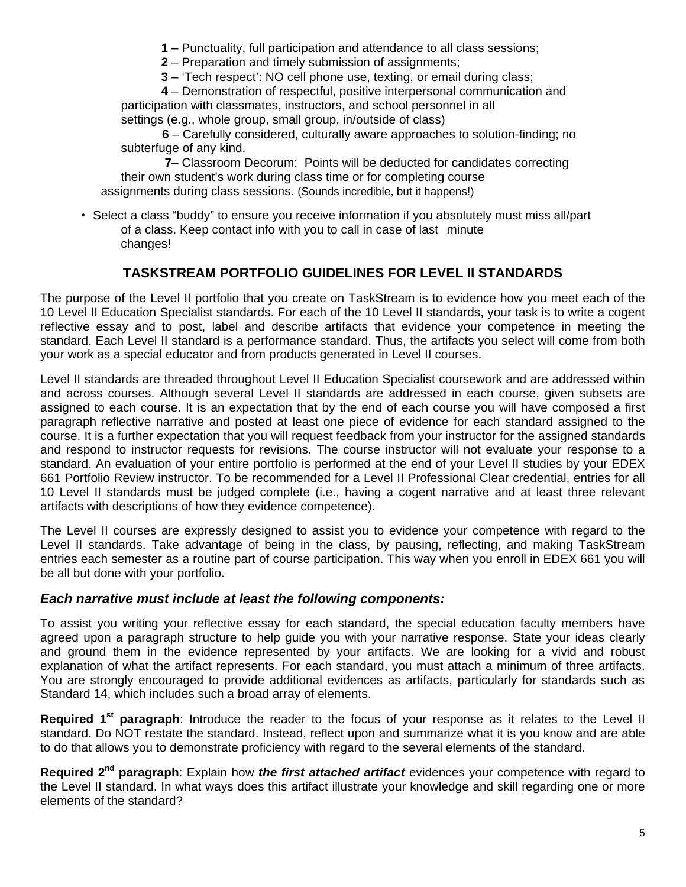**1** – Punctuality, full participation and attendance to all class sessions;

**2** – Preparation and timely submission of assignments;

**3** – 'Tech respect': NO cell phone use, texting, or email during class;

**4** – Demonstration of respectful, positive interpersonal communication and participation with classmates, instructors, and school personnel in all settings (e.g., whole group, small group, in/outside of class)

**6** – Carefully considered, culturally aware approaches to solution-finding; no subterfuge of any kind.

**7**– Classroom Decorum: Points will be deducted for candidates correcting their own student's work during class time or for completing course assignments during class sessions. (Sounds incredible, but it happens!)

 Select a class "buddy" to ensure you receive information if you absolutely must miss all/part of a class. Keep contact info with you to call in case of last minute changes!

# **TASKSTREAM PORTFOLIO GUIDELINES FOR LEVEL II STANDARDS**

The purpose of the Level II portfolio that you create on TaskStream is to evidence how you meet each of the 10 Level II Education Specialist standards. For each of the 10 Level II standards, your task is to write a cogent reflective essay and to post, label and describe artifacts that evidence your competence in meeting the standard. Each Level II standard is a performance standard. Thus, the artifacts you select will come from both your work as a special educator and from products generated in Level II courses.

Level II standards are threaded throughout Level II Education Specialist coursework and are addressed within and across courses. Although several Level II standards are addressed in each course, given subsets are assigned to each course. It is an expectation that by the end of each course you will have composed a first paragraph reflective narrative and posted at least one piece of evidence for each standard assigned to the course. It is a further expectation that you will request feedback from your instructor for the assigned standards and respond to instructor requests for revisions. The course instructor will not evaluate your response to a standard. An evaluation of your entire portfolio is performed at the end of your Level II studies by your EDEX 661 Portfolio Review instructor. To be recommended for a Level II Professional Clear credential, entries for all 10 Level II standards must be judged complete (i.e., having a cogent narrative and at least three relevant artifacts with descriptions of how they evidence competence).

The Level II courses are expressly designed to assist you to evidence your competence with regard to the Level II standards. Take advantage of being in the class, by pausing, reflecting, and making TaskStream entries each semester as a routine part of course participation. This way when you enroll in EDEX 661 you will be all but done with your portfolio.

## *Each narrative must include at least the following components:*

To assist you writing your reflective essay for each standard, the special education faculty members have agreed upon a paragraph structure to help guide you with your narrative response. State your ideas clearly and ground them in the evidence represented by your artifacts. We are looking for a vivid and robust explanation of what the artifact represents. For each standard, you must attach a minimum of three artifacts. You are strongly encouraged to provide additional evidences as artifacts, particularly for standards such as Standard 14, which includes such a broad array of elements.

**Required 1st paragraph**: Introduce the reader to the focus of your response as it relates to the Level II standard. Do NOT restate the standard. Instead, reflect upon and summarize what it is you know and are able to do that allows you to demonstrate proficiency with regard to the several elements of the standard.

**Required 2nd paragraph**: Explain how *the first attached artifact* evidences your competence with regard to the Level II standard. In what ways does this artifact illustrate your knowledge and skill regarding one or more elements of the standard?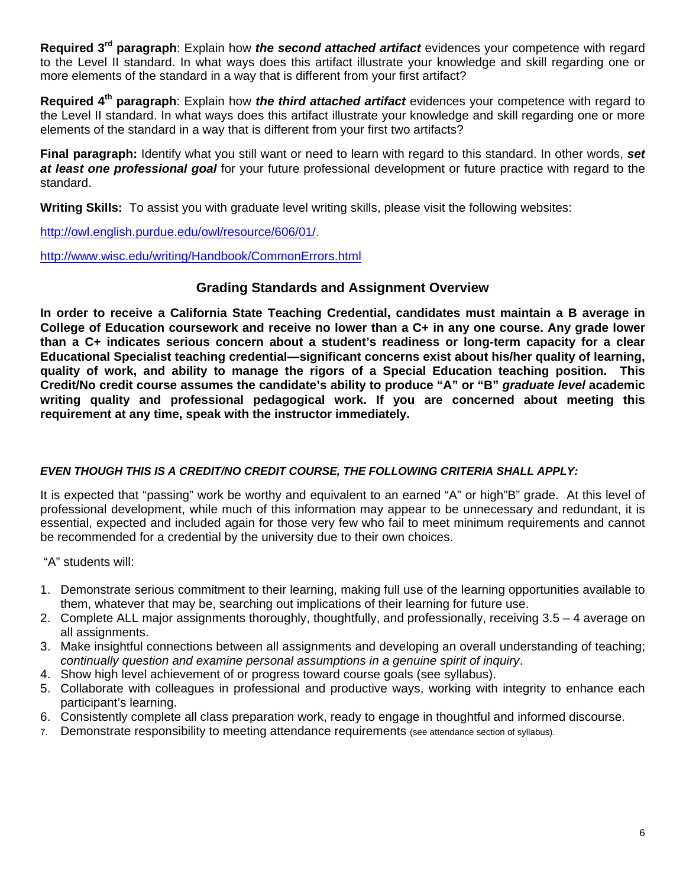**Required 3rd paragraph**: Explain how *the second attached artifact* evidences your competence with regard to the Level II standard. In what ways does this artifact illustrate your knowledge and skill regarding one or more elements of the standard in a way that is different from your first artifact?

**Required 4th paragraph**: Explain how *the third attached artifact* evidences your competence with regard to the Level II standard. In what ways does this artifact illustrate your knowledge and skill regarding one or more elements of the standard in a way that is different from your first two artifacts?

**Final paragraph:** Identify what you still want or need to learn with regard to this standard. In other words, *set at least one professional goal* for your future professional development or future practice with regard to the standard.

**Writing Skills:** To assist you with graduate level writing skills, please visit the following websites:

http://owl.english.purdue.edu/owl/resource/606/01/.

http://www.wisc.edu/writing/Handbook/CommonErrors.html

# **Grading Standards and Assignment Overview**

**In order to receive a California State Teaching Credential, candidates must maintain a B average in College of Education coursework and receive no lower than a C+ in any one course. Any grade lower than a C+ indicates serious concern about a student's readiness or long-term capacity for a clear Educational Specialist teaching credential—significant concerns exist about his/her quality of learning, quality of work, and ability to manage the rigors of a Special Education teaching position. This Credit/No credit course assumes the candidate's ability to produce "A" or "B"** *graduate level* **academic writing quality and professional pedagogical work. If you are concerned about meeting this requirement at any time, speak with the instructor immediately.** 

## *EVEN THOUGH THIS IS A CREDIT/NO CREDIT COURSE, THE FOLLOWING CRITERIA SHALL APPLY:*

It is expected that "passing" work be worthy and equivalent to an earned "A" or high"B" grade. At this level of professional development, while much of this information may appear to be unnecessary and redundant, it is essential, expected and included again for those very few who fail to meet minimum requirements and cannot be recommended for a credential by the university due to their own choices.

"A" students will:

- 1. Demonstrate serious commitment to their learning, making full use of the learning opportunities available to them, whatever that may be, searching out implications of their learning for future use.
- 2. Complete ALL major assignments thoroughly, thoughtfully, and professionally, receiving 3.5 4 average on all assignments.
- 3. Make insightful connections between all assignments and developing an overall understanding of teaching; *continually question and examine personal assumptions in a genuine spirit of inquiry*.
- 4. Show high level achievement of or progress toward course goals (see syllabus).
- 5. Collaborate with colleagues in professional and productive ways, working with integrity to enhance each participant's learning.
- 6. Consistently complete all class preparation work, ready to engage in thoughtful and informed discourse.
- 7. Demonstrate responsibility to meeting attendance requirements (see attendance section of syllabus).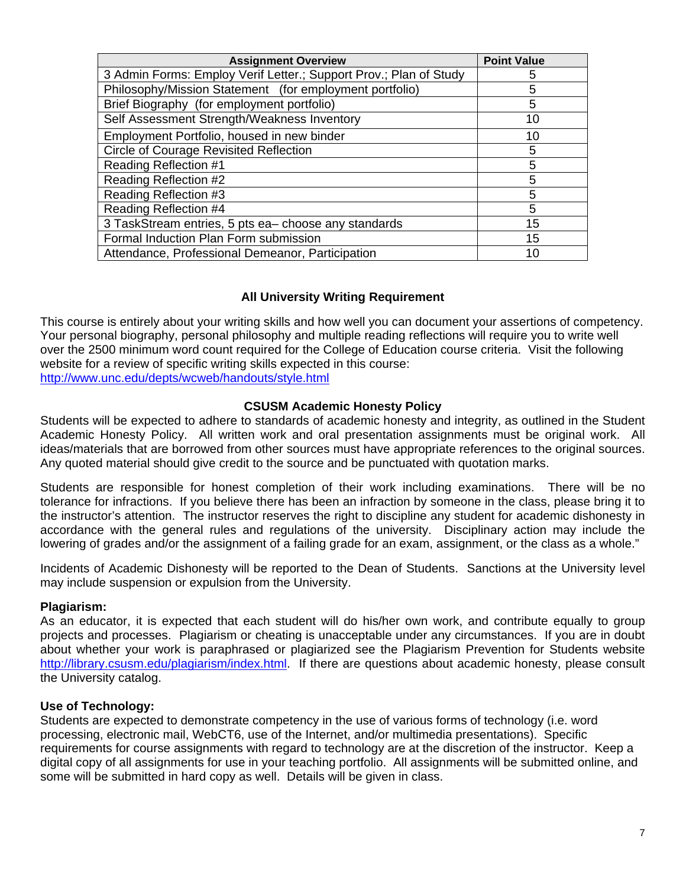| <b>Assignment Overview</b>                                        | <b>Point Value</b> |
|-------------------------------------------------------------------|--------------------|
| 3 Admin Forms: Employ Verif Letter.; Support Prov.; Plan of Study | 5                  |
| Philosophy/Mission Statement (for employment portfolio)           | 5                  |
| Brief Biography (for employment portfolio)                        | 5                  |
| Self Assessment Strength/Weakness Inventory                       | 10                 |
| Employment Portfolio, housed in new binder                        | 10                 |
| <b>Circle of Courage Revisited Reflection</b>                     | 5                  |
| <b>Reading Reflection #1</b>                                      | 5                  |
| Reading Reflection #2                                             | 5                  |
| Reading Reflection #3                                             | 5                  |
| Reading Reflection #4                                             | 5                  |
| 3 TaskStream entries, 5 pts ea-choose any standards               | 15                 |
| Formal Induction Plan Form submission                             | 15                 |
| Attendance, Professional Demeanor, Participation                  | 10                 |

## **All University Writing Requirement**

 http://www.unc.edu/depts/wcweb/handouts/style.html This course is entirely about your writing skills and how well you can document your assertions of competency. Your personal biography, personal philosophy and multiple reading reflections will require you to write well over the 2500 minimum word count required for the College of Education course criteria. Visit the following website for a review of specific writing skills expected in this course:

### **CSUSM Academic Honesty Policy**

Students will be expected to adhere to standards of academic honesty and integrity, as outlined in the Student Academic Honesty Policy. All written work and oral presentation assignments must be original work. All ideas/materials that are borrowed from other sources must have appropriate references to the original sources. Any quoted material should give credit to the source and be punctuated with quotation marks.

Students are responsible for honest completion of their work including examinations. There will be no tolerance for infractions. If you believe there has been an infraction by someone in the class, please bring it to the instructor's attention. The instructor reserves the right to discipline any student for academic dishonesty in accordance with the general rules and regulations of the university. Disciplinary action may include the lowering of grades and/or the assignment of a failing grade for an exam, assignment, or the class as a whole."

Incidents of Academic Dishonesty will be reported to the Dean of Students. Sanctions at the University level may include suspension or expulsion from the University.

## **Plagiarism:**

As an educator, it is expected that each student will do his/her own work, and contribute equally to group projects and processes. Plagiarism or cheating is unacceptable under any circumstances. If you are in doubt about whether your work is paraphrased or plagiarized see the Plagiarism Prevention for Students website http://library.csusm.edu/plagiarism/index.html. If there are questions about academic honesty, please consult the University catalog.

## **Use of Technology:**

Students are expected to demonstrate competency in the use of various forms of technology (i.e. word processing, electronic mail, WebCT6, use of the Internet, and/or multimedia presentations). Specific requirements for course assignments with regard to technology are at the discretion of the instructor. Keep a digital copy of all assignments for use in your teaching portfolio. All assignments will be submitted online, and some will be submitted in hard copy as well. Details will be given in class.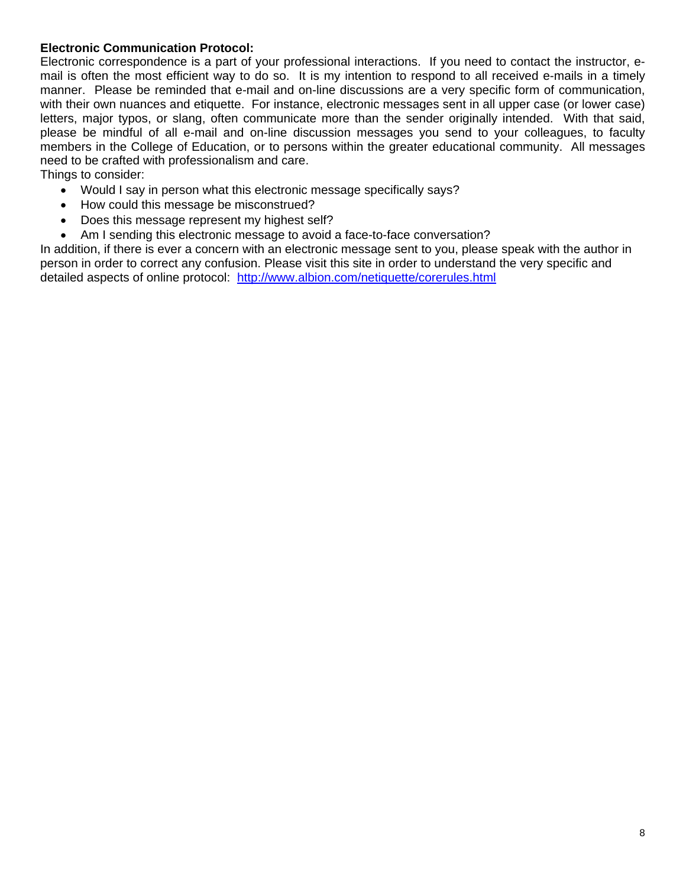## **Electronic Communication Protocol:**

Electronic correspondence is a part of your professional interactions. If you need to contact the instructor, email is often the most efficient way to do so. It is my intention to respond to all received e-mails in a timely manner. Please be reminded that e-mail and on-line discussions are a very specific form of communication, with their own nuances and etiquette. For instance, electronic messages sent in all upper case (or lower case) letters, major typos, or slang, often communicate more than the sender originally intended. With that said, please be mindful of all e-mail and on-line discussion messages you send to your colleagues, to faculty members in the College of Education, or to persons within the greater educational community. All messages need to be crafted with professionalism and care.

Things to consider:

- Would I say in person what this electronic message specifically says?
- How could this message be misconstrued?
- Does this message represent my highest self?
- Am I sending this electronic message to avoid a face-to-face conversation?

detailed aspects of online protocol: http://www.albion.com/netiquette/corerules.html In addition, if there is ever a concern with an electronic message sent to you, please speak with the author in person in order to correct any confusion. Please visit this site in order to understand the very specific and detailed aspects of online protocol: <u>http://www.albion.com/netiquette/corendes.html</u><br> $\frac{1}{2}$ <br>8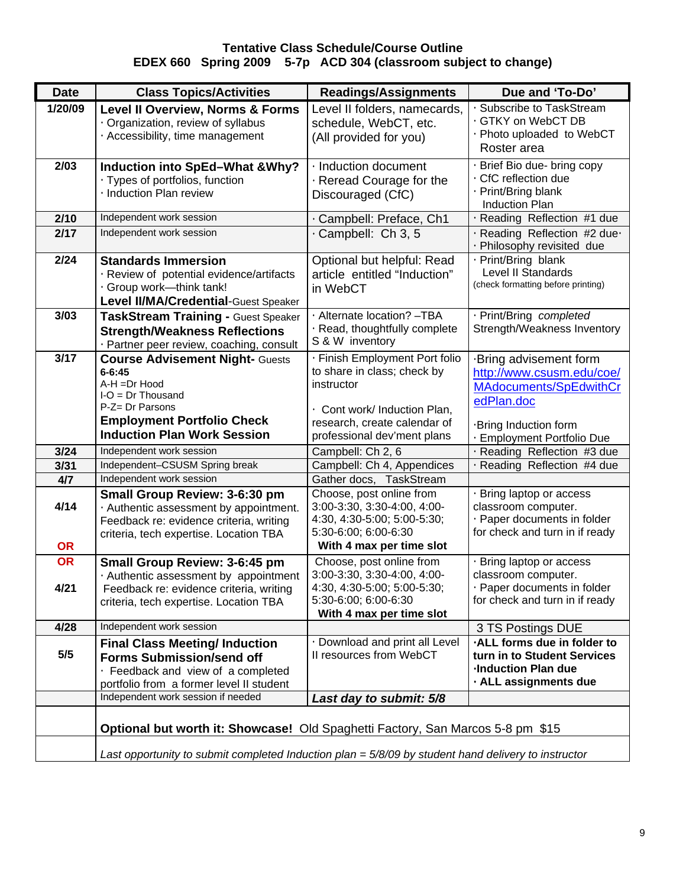### **Tentative Class Schedule/Course Outline EDEX 660 Spring 2009 5-7p ACD 304 (classroom subject to change)**

| <b>Date</b>       | <b>Class Topics/Activities</b>                                                                                                                                                            | <b>Readings/Assignments</b>                                                                                                                                                | Due and 'To-Do'                                                                                                                                    |  |  |  |
|-------------------|-------------------------------------------------------------------------------------------------------------------------------------------------------------------------------------------|----------------------------------------------------------------------------------------------------------------------------------------------------------------------------|----------------------------------------------------------------------------------------------------------------------------------------------------|--|--|--|
| 1/20/09           | <b>Level II Overview, Norms &amp; Forms</b><br>· Organization, review of syllabus<br>· Accessibility, time management                                                                     | Level II folders, namecards,<br>schedule, WebCT, etc.<br>(All provided for you)                                                                                            | · Subscribe to TaskStream<br>· GTKY on WebCT DB<br>· Photo uploaded to WebCT<br>Roster area                                                        |  |  |  |
| 2/03              | <b>Induction into SpEd-What &amp;Why?</b><br>· Types of portfolios, function<br>· Induction Plan review                                                                                   | · Induction document<br>$\cdot$ Reread Courage for the<br>Discouraged (CfC)                                                                                                | · Brief Bio due- bring copy<br>· CfC reflection due<br>· Print/Bring blank<br><b>Induction Plan</b>                                                |  |  |  |
| 2/10              | Independent work session                                                                                                                                                                  | · Campbell: Preface, Ch1                                                                                                                                                   | · Reading Reflection #1 due                                                                                                                        |  |  |  |
| 2/17              | Independent work session                                                                                                                                                                  | Campbell: Ch 3, 5                                                                                                                                                          | · Reading Reflection #2 due·<br>· Philosophy revisited due                                                                                         |  |  |  |
| 2/24              | <b>Standards Immersion</b><br>· Review of potential evidence/artifacts<br>Group work-think tank!<br>Level II/MA/Credential-Guest Speaker                                                  | Optional but helpful: Read<br>article entitled "Induction"<br>in WebCT                                                                                                     | · Print/Bring blank<br>Level II Standards<br>(check formatting before printing)                                                                    |  |  |  |
| 3/03              | <b>TaskStream Training - Guest Speaker</b><br><b>Strength/Weakness Reflections</b><br>· Partner peer review, coaching, consult                                                            | · Alternate location? -TBA<br>· Read, thoughtfully complete<br>S & W inventory                                                                                             | · Print/Bring completed<br>Strength/Weakness Inventory                                                                                             |  |  |  |
| 3/17              | <b>Course Advisement Night- Guests</b><br>$6 - 6:45$<br>A-H =Dr Hood<br>$I-O = Dr$ Thousand<br>P-Z= Dr Parsons<br><b>Employment Portfolio Check</b><br><b>Induction Plan Work Session</b> | · Finish Employment Port folio<br>to share in class; check by<br>instructor<br>· Cont work/ Induction Plan,<br>research, create calendar of<br>professional dev'ment plans | ·Bring advisement form<br>http://www.csusm.edu/coe/<br>MAdocuments/SpEdwithCr<br>edPlan.doc<br>·Bring Induction form<br>· Employment Portfolio Due |  |  |  |
| 3/24              | Independent work session                                                                                                                                                                  | Campbell: Ch 2, 6                                                                                                                                                          | · Reading Reflection #3 due                                                                                                                        |  |  |  |
| 3/31              | Independent-CSUSM Spring break                                                                                                                                                            | Campbell: Ch 4, Appendices                                                                                                                                                 | · Reading Reflection #4 due                                                                                                                        |  |  |  |
| 4/7               | Independent work session                                                                                                                                                                  | Gather docs, TaskStream                                                                                                                                                    |                                                                                                                                                    |  |  |  |
| 4/14<br><b>OR</b> | Small Group Review: 3-6:30 pm<br>· Authentic assessment by appointment.<br>Feedback re: evidence criteria, writing<br>criteria, tech expertise. Location TBA                              | Choose, post online from<br>3:00-3:30, 3:30-4:00, 4:00-<br>4:30, 4:30-5:00; 5:00-5:30;<br>5:30-6:00; 6:00-6:30<br>With 4 max per time slot                                 | · Bring laptop or access<br>classroom computer.<br>· Paper documents in folder<br>for check and turn in if ready                                   |  |  |  |
| <b>OR</b>         | Small Group Review: 3-6:45 pm                                                                                                                                                             | Choose, post online from                                                                                                                                                   | · Bring laptop or access                                                                                                                           |  |  |  |
| 4/21              | · Authentic assessment by appointment<br>Feedback re: evidence criteria, writing<br>criteria, tech expertise. Location TBA                                                                | 3:00-3:30, 3:30-4:00, 4:00-<br>4:30, 4:30-5:00; 5:00-5:30;<br>5:30-6:00; 6:00-6:30<br>With 4 max per time slot                                                             | classroom computer.<br>· Paper documents in folder<br>for check and turn in if ready                                                               |  |  |  |
| 4/28              | Independent work session                                                                                                                                                                  |                                                                                                                                                                            | 3 TS Postings DUE                                                                                                                                  |  |  |  |
| 5/5               | <b>Final Class Meeting/ Induction</b><br><b>Forms Submission/send off</b><br>Feedback and view of a completed<br>portfolio from a former level II student                                 | · Download and print all Level<br>II resources from WebCT                                                                                                                  | ALL forms due in folder to<br>turn in to Student Services<br><b>Induction Plan due</b><br>· ALL assignments due                                    |  |  |  |
|                   | Independent work session if needed                                                                                                                                                        | Last day to submit: 5/8                                                                                                                                                    |                                                                                                                                                    |  |  |  |
|                   | Optional but worth it: Showcase! Old Spaghetti Factory, San Marcos 5-8 pm \$15                                                                                                            |                                                                                                                                                                            |                                                                                                                                                    |  |  |  |
|                   | Last opportunity to submit completed Induction plan = $5/8/09$ by student hand delivery to instructor                                                                                     |                                                                                                                                                                            |                                                                                                                                                    |  |  |  |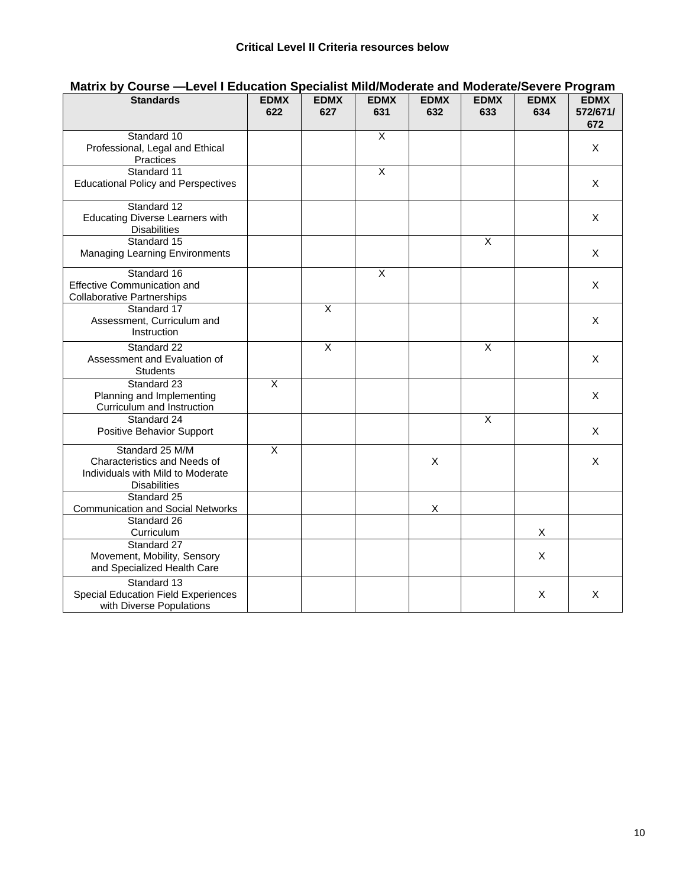| <b>Standards</b>                                                                                            | <b>EDMX</b><br>622      | <b>EDMX</b><br>627      | <b>EDMX</b><br>631      | <b>EDMX</b><br>632 | <b>EDMX</b><br>633      | <b>EDMX</b><br>634 | <b>EDMX</b><br>572/671/<br>672 |
|-------------------------------------------------------------------------------------------------------------|-------------------------|-------------------------|-------------------------|--------------------|-------------------------|--------------------|--------------------------------|
| Standard 10<br>Professional, Legal and Ethical<br><b>Practices</b>                                          |                         |                         | X                       |                    |                         |                    | X                              |
| Standard 11<br><b>Educational Policy and Perspectives</b>                                                   |                         |                         | $\overline{X}$          |                    |                         |                    | X                              |
| Standard 12<br><b>Educating Diverse Learners with</b><br><b>Disabilities</b>                                |                         |                         |                         |                    |                         |                    | X                              |
| Standard 15<br><b>Managing Learning Environments</b>                                                        |                         |                         |                         |                    | $\overline{X}$          |                    | X                              |
| Standard 16<br><b>Effective Communication and</b><br><b>Collaborative Partnerships</b>                      |                         |                         | $\overline{\mathsf{x}}$ |                    |                         |                    | X                              |
| Standard 17<br>Assessment, Curriculum and<br>Instruction                                                    |                         | $\overline{\mathsf{x}}$ |                         |                    |                         |                    | X                              |
| Standard 22<br>Assessment and Evaluation of<br><b>Students</b>                                              |                         | $\overline{\mathsf{x}}$ |                         |                    | $\overline{\mathsf{x}}$ |                    | X                              |
| Standard 23<br>Planning and Implementing<br>Curriculum and Instruction                                      | $\overline{\mathsf{X}}$ |                         |                         |                    |                         |                    | X                              |
| Standard 24<br>Positive Behavior Support                                                                    |                         |                         |                         |                    | $\overline{X}$          |                    | X                              |
| Standard 25 M/M<br>Characteristics and Needs of<br>Individuals with Mild to Moderate<br><b>Disabilities</b> | $\overline{\mathsf{x}}$ |                         |                         | X                  |                         |                    | X                              |
| Standard 25<br><b>Communication and Social Networks</b>                                                     |                         |                         |                         | X                  |                         |                    |                                |
| Standard 26<br>Curriculum                                                                                   |                         |                         |                         |                    |                         | X                  |                                |
| Standard 27<br>Movement, Mobility, Sensory<br>and Specialized Health Care                                   |                         |                         |                         |                    |                         | X                  |                                |
| Standard 13<br>Special Education Field Experiences<br>with Diverse Populations                              |                         |                         |                         |                    |                         | Χ                  | X                              |

# **Matrix by Course —Level I Education Specialist Mild/Moderate and Moderate/Severe Program**